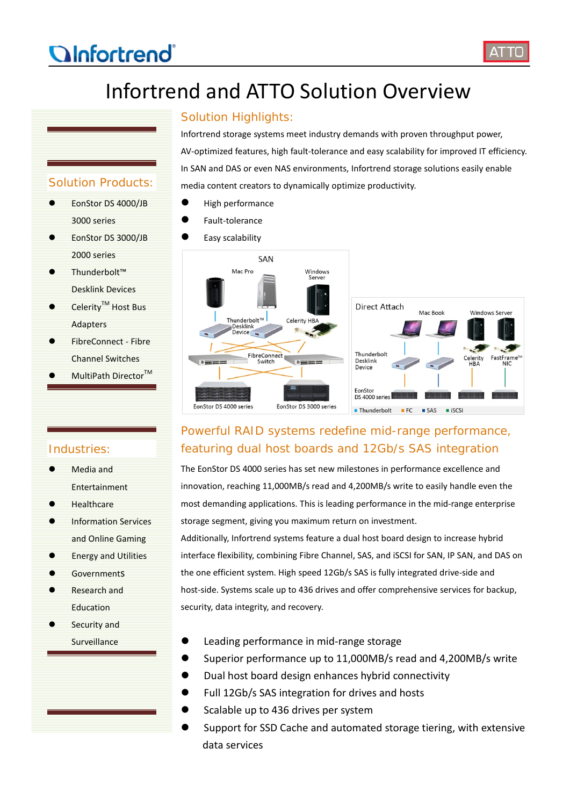# *<u>OInfortrend</u>*



# Infortrend and ATTO Solution Overview

## Solution Products:

- EonStor DS 4000/JB 3000 series
- EonStor DS 3000/JB 2000 series
- Thunderbolt™ Desklink Devices
- Celerity<sup>™</sup> Host Bus Adapters
- FibreConnect Fibre Channel Switches
- MultiPath Director<sup>™</sup>

#### Solution Highlights:

Infortrend storage systems meet industry demands with proven throughput power, AV-optimized features, high fault-tolerance and easy scalability for improved IT efficiency. In SAN and DAS or even NAS environments, Infortrend storage solutions easily enable media content creators to dynamically optimize productivity.

- $\bullet$  High performance
- Fault-tolerance
- Easy scalability



## Powerful RAID systems redefine mid-range performance, featuring dual host boards and 12Gb/s SAS integration

The EonStor DS 4000 series has set new milestones in performance excellence and innovation, reaching 11,000MB/s read and 4,200MB/s write to easily handle even the most demanding applications. This is leading performance in the mid-range enterprise storage segment, giving you maximum return on investment.

Additionally, Infortrend systems feature a dual host board design to increase hybrid interface flexibility, combining Fibre Channel, SAS, and iSCSI for SAN, IP SAN, and DAS on the one efficient system. High speed 12Gb/s SAS is fully integrated drive-side and host-side. Systems scale up to 436 drives and offer comprehensive services for backup, security, data integrity, and recovery.

- Leading performance in mid-range storage
- Superior performance up to 11,000MB/s read and 4,200MB/s write
- Dual host board design enhances hybrid connectivity
- Full 12Gb/s SAS integration for drives and hosts
- Scalable up to 436 drives per system
- Support for SSD Cache and automated storage tiering, with extensive data services

### Industries:

- [Media and](http://www.infortrend.com/us/Solutions/media_entertain)  [Entertainment](http://www.infortrend.com/us/Solutions/media_entertain)
- **[Healthcare](http://www.infortrend.com/us/Solutions/health_care)**
- [Information Services](http://www.infortrend.com/us/Solutions/information_service) [and Online Gaming](http://www.infortrend.com/us/Solutions/information_service)
- [Energy and Utilities](http://www.infortrend.com/us/Solutions/energy_utilities)
- **GovernmentS**
- [Research and](http://www.infortrend.com/us/Solutions/research_education)  [Education](http://www.infortrend.com/us/Solutions/research_education)
- [Security and](http://www.infortrend.com/us/Solutions/sercrity_surveillanc)  **[Surveillance](http://www.infortrend.com/us/Solutions/sercrity_surveillanc)**